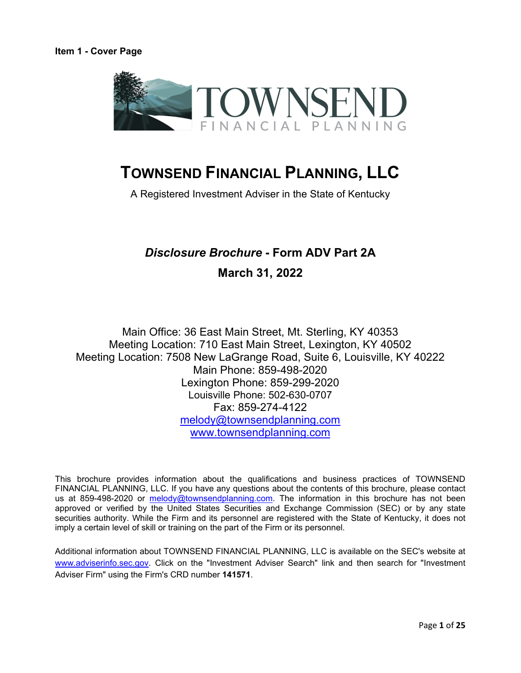<span id="page-0-0"></span>

A Registered Investment Adviser in the State of Kentucky

# *Disclosure Brochure* **- Form ADV Part 2A**

# **March 31, 2022**

Main Office: 36 East Main Street, Mt. Sterling, KY 40353 Meeting Location: 710 East Main Street, Lexington, KY 40502 Meeting Location: 7508 New LaGrange Road, Suite 6, Louisville, KY 40222 Main Phone: 859-498-2020 Lexington Phone: 859-299-2020 Louisville Phone: 502-630-0707 Fax: 859-274-4122 [melody@townsendplanning.com](mailto:melody@townsendplanning.com) [www.townsendplanning.com](http://www.townsendplanning.com/) 

This brochure provides information about the qualifications and business practices of TOWNSEND FINANCIAL PLANNING, LLC. If you have any questions about the contents of this brochure, please contact us at 859-498-2020 or [melody@townsendplanning.com.](mailto:melody@townsendplanning.com) The information in this brochure has not been approved or verified by the United States Securities and Exchange Commission (SEC) or by any state securities authority. While the Firm and its personnel are registered with the State of Kentucky, it does not imply a certain level of skill or training on the part of the Firm or its personnel.

Additional information about TOWNSEND FINANCIAL PLANNING, LLC is available on the SEC's website at [www.adviserinfo.sec.gov.](http://www.adviserinfo.sec.gov/) Click on the "Investment Adviser Search" link and then search for "Investment Adviser Firm" using the Firm's CRD number **141571**.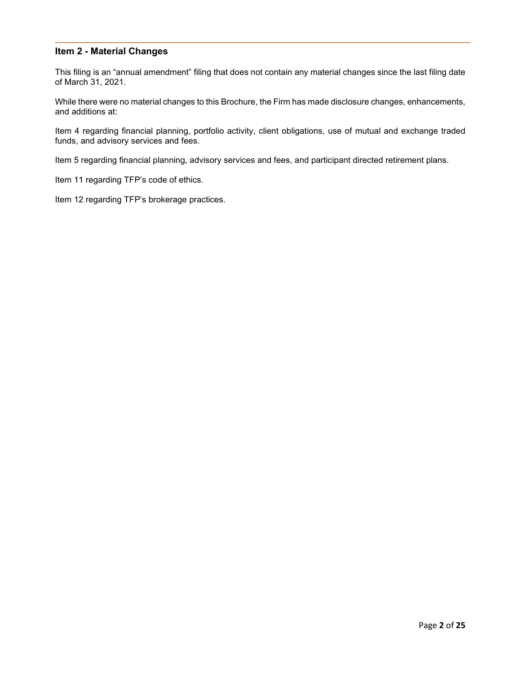## <span id="page-1-0"></span>**Item 2 - Material Changes**

This filing is an "annual amendment" filing that does not contain any material changes since the last filing date of March 31, 2021.

While there were no material changes to this Brochure, the Firm has made disclosure changes, enhancements, and additions at:

Item 4 regarding financial planning, portfolio activity, client obligations, use of mutual and exchange traded funds, and advisory services and fees.

Item 5 regarding financial planning, advisory services and fees, and participant directed retirement plans.

Item 11 regarding TFP's code of ethics.

Item 12 regarding TFP's brokerage practices.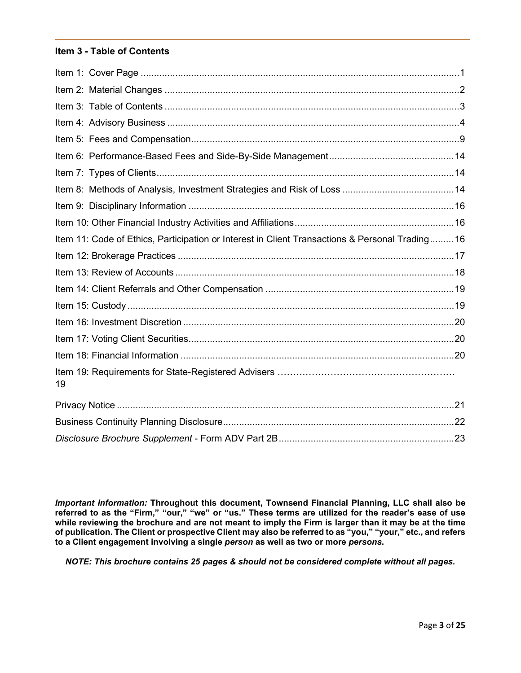# <span id="page-2-0"></span>**Item 3 - Table of Contents**

| Item 11: Code of Ethics, Participation or Interest in Client Transactions & Personal Trading 16 |  |
|-------------------------------------------------------------------------------------------------|--|
|                                                                                                 |  |
|                                                                                                 |  |
|                                                                                                 |  |
|                                                                                                 |  |
|                                                                                                 |  |
|                                                                                                 |  |
|                                                                                                 |  |
| 19                                                                                              |  |
|                                                                                                 |  |
|                                                                                                 |  |
|                                                                                                 |  |

*Important Information:* **Throughout this document, Townsend Financial Planning, LLC shall also be referred to as the "Firm," "our," "we" or "us." These terms are utilized for the reader's ease of use while reviewing the brochure and are not meant to imply the Firm is larger than it may be at the time of publication. The Client or prospective Client may also be referred to as "you," "your," etc., and refers to a Client engagement involving a single** *person* **as well as two or more** *persons***.** 

*NOTE: This brochure contains 25 pages & should not be considered complete without all pages.*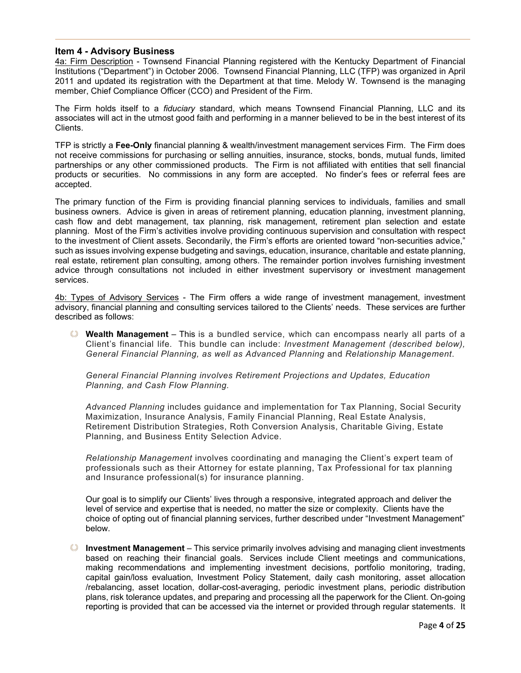#### <span id="page-3-0"></span>**Item 4 - Advisory Business**

4a: Firm Description - Townsend Financial Planning registered with the Kentucky Department of Financial Institutions ("Department") in October 2006. Townsend Financial Planning, LLC (TFP) was organized in April 2011 and updated its registration with the Department at that time. Melody W. Townsend is the managing member, Chief Compliance Officer (CCO) and President of the Firm.

The Firm holds itself to a *fiduciary* standard, which means Townsend Financial Planning, LLC and its associates will act in the utmost good faith and performing in a manner believed to be in the best interest of its Clients.

TFP is strictly a **Fee-Only** financial planning & wealth/investment management services Firm. The Firm does not receive commissions for purchasing or selling annuities, insurance, stocks, bonds, mutual funds, limited partnerships or any other commissioned products. The Firm is not affiliated with entities that sell financial products or securities. No commissions in any form are accepted. No finder's fees or referral fees are accepted.

The primary function of the Firm is providing financial planning services to individuals, families and small business owners. Advice is given in areas of retirement planning, education planning, investment planning, cash flow and debt management, tax planning, risk management, retirement plan selection and estate planning. Most of the Firm's activities involve providing continuous supervision and consultation with respect to the investment of Client assets. Secondarily, the Firm's efforts are oriented toward "non-securities advice," such as issues involving expense budgeting and savings, education, insurance, charitable and estate planning, real estate, retirement plan consulting, among others. The remainder portion involves furnishing investment advice through consultations not included in either investment supervisory or investment management services.

4b: Types of Advisory Services - The Firm offers a wide range of investment management, investment advisory, financial planning and consulting services tailored to the Clients' needs. These services are further described as follows:

**Wealth Management** – This is a bundled service, which can encompass nearly all parts of a Client's financial life. This bundle can include: *Investment Management (described below), General Financial Planning, as well as Advanced Planning* and *Relationship Management*.

*General Financial Planning involves Retirement Projections and Updates, Education Planning, and Cash Flow Planning.*

*Advanced Planning* includes guidance and implementation for Tax Planning, Social Security Maximization, Insurance Analysis, Family Financial Planning, Real Estate Analysis, Retirement Distribution Strategies, Roth Conversion Analysis, Charitable Giving, Estate Planning, and Business Entity Selection Advice.

*Relationship Management* involves coordinating and managing the Client's expert team of professionals such as their Attorney for estate planning, Tax Professional for tax planning and Insurance professional(s) for insurance planning.

Our goal is to simplify our Clients' lives through a responsive, integrated approach and deliver the level of service and expertise that is needed, no matter the size or complexity. Clients have the choice of opting out of financial planning services, further described under "Investment Management" below.

**Investment Management** – This service primarily involves advising and managing client investments based on reaching their financial goals. Services include Client meetings and communications, making recommendations and implementing investment decisions, portfolio monitoring, trading, capital gain/loss evaluation, Investment Policy Statement, daily cash monitoring, asset allocation /rebalancing, asset location, dollar-cost-averaging, periodic investment plans, periodic distribution plans, risk tolerance updates, and preparing and processing all the paperwork for the Client. On-going reporting is provided that can be accessed via the internet or provided through regular statements. It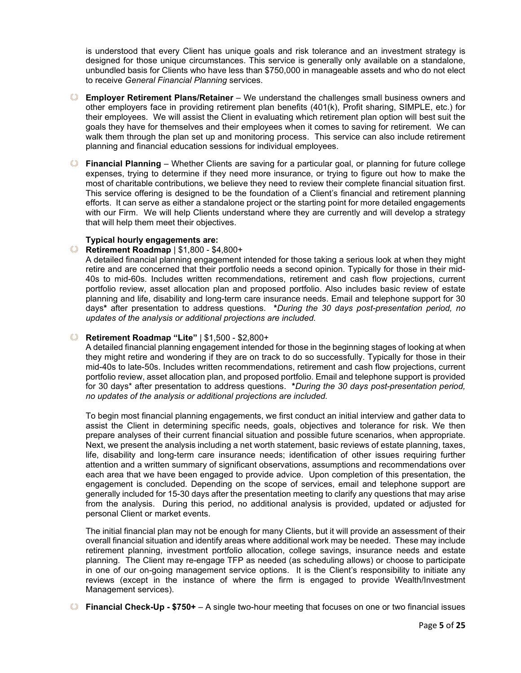is understood that every Client has unique goals and risk tolerance and an investment strategy is designed for those unique circumstances. This service is generally only available on a standalone, unbundled basis for Clients who have less than \$750,000 in manageable assets and who do not elect to receive *General Financial Planning* services.

- **Employer Retirement Plans/Retainer**  We understand the challenges small business owners and other employers face in providing retirement plan benefits (401(k), Profit sharing, SIMPLE, etc.) for their employees. We will assist the Client in evaluating which retirement plan option will best suit the goals they have for themselves and their employees when it comes to saving for retirement. We can walk them through the plan set up and monitoring process. This service can also include retirement planning and financial education sessions for individual employees.
- **Financial Planning**  Whether Clients are saving for a particular goal, or planning for future college expenses, trying to determine if they need more insurance, or trying to figure out how to make the most of charitable contributions, we believe they need to review their complete financial situation first. This service offering is designed to be the foundation of a Client's financial and retirement planning efforts. It can serve as either a standalone project or the starting point for more detailed engagements with our Firm. We will help Clients understand where they are currently and will develop a strategy that will help them meet their objectives.

#### **Typical hourly engagements are:**

#### **Retirement Roadmap** | \$1,800 - \$4,800+

A detailed financial planning engagement intended for those taking a serious look at when they might retire and are concerned that their portfolio needs a second opinion. Typically for those in their mid-40s to mid-60s. Includes written recommendations, retirement and cash flow projections, current portfolio review, asset allocation plan and proposed portfolio. Also includes basic review of estate planning and life, disability and long-term care insurance needs. Email and telephone support for 30 days**\*** after presentation to address questions. **\****During the 30 days post-presentation period, no updates of the analysis or additional projections are included.*

#### **Retirement Roadmap "Lite"** | \$1,500 - \$2,800+

A detailed financial planning engagement intended for those in the beginning stages of looking at when they might retire and wondering if they are on track to do so successfully. Typically for those in their mid-40s to late-50s. Includes written recommendations, retirement and cash flow projections, current portfolio review, asset allocation plan, and proposed portfolio. Email and telephone support is provided for 30 days\* after presentation to address questions. **\****During the 30 days post-presentation period, no updates of the analysis or additional projections are included.*

To begin most financial planning engagements, we first conduct an initial interview and gather data to assist the Client in determining specific needs, goals, objectives and tolerance for risk. We then prepare analyses of their current financial situation and possible future scenarios, when appropriate. Next, we present the analysis including a net worth statement, basic reviews of estate planning, taxes, life, disability and long-term care insurance needs; identification of other issues requiring further attention and a written summary of significant observations, assumptions and recommendations over each area that we have been engaged to provide advice. Upon completion of this presentation, the engagement is concluded. Depending on the scope of services, email and telephone support are generally included for 15-30 days after the presentation meeting to clarify any questions that may arise from the analysis. During this period, no additional analysis is provided, updated or adjusted for personal Client or market events.

The initial financial plan may not be enough for many Clients, but it will provide an assessment of their overall financial situation and identify areas where additional work may be needed. These may include retirement planning, investment portfolio allocation, college savings, insurance needs and estate planning. The Client may re-engage TFP as needed (as scheduling allows) or choose to participate in one of our on-going management service options. It is the Client's responsibility to initiate any reviews (except in the instance of where the firm is engaged to provide Wealth/Investment Management services).

**Financial Check-Up - \$750+** – A single two-hour meeting that focuses on one or two financial issues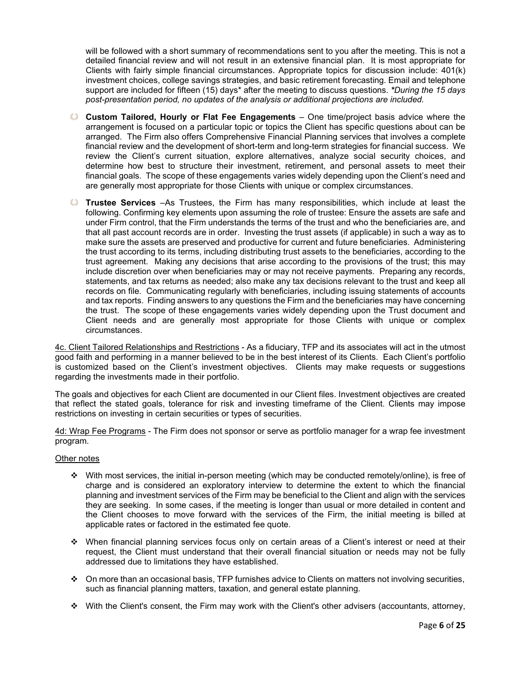will be followed with a short summary of recommendations sent to you after the meeting. This is not a detailed financial review and will not result in an extensive financial plan. It is most appropriate for Clients with fairly simple financial circumstances. Appropriate topics for discussion include: 401(k) investment choices, college savings strategies, and basic retirement forecasting. Email and telephone support are included for fifteen (15) days\* after the meeting to discuss questions. *\*During the 15 days post-presentation period, no updates of the analysis or additional projections are included.*

- **Custom Tailored, Hourly or Flat Fee Engagements** One time/project basis advice where the arrangement is focused on a particular topic or topics the Client has specific questions about can be arranged. The Firm also offers Comprehensive Financial Planning services that involves a complete financial review and the development of short-term and long-term strategies for financial success. We review the Client's current situation, explore alternatives, analyze social security choices, and determine how best to structure their investment, retirement, and personal assets to meet their financial goals. The scope of these engagements varies widely depending upon the Client's need and are generally most appropriate for those Clients with unique or complex circumstances.
- **Trustee Services** –As Trustees, the Firm has many responsibilities, which include at least the following. Confirming key elements upon assuming the role of trustee: Ensure the assets are safe and under Firm control, that the Firm understands the terms of the trust and who the beneficiaries are, and that all past account records are in order. Investing the trust assets (if applicable) in such a way as to make sure the assets are preserved and productive for current and future beneficiaries. Administering the trust according to its terms, including distributing trust assets to the beneficiaries, according to the trust agreement. Making any decisions that arise according to the provisions of the trust; this may include discretion over when beneficiaries may or may not receive payments. Preparing any records, statements, and tax returns as needed; also make any tax decisions relevant to the trust and keep all records on file. Communicating regularly with beneficiaries, including issuing statements of accounts and tax reports. Finding answers to any questions the Firm and the beneficiaries may have concerning the trust. The scope of these engagements varies widely depending upon the Trust document and Client needs and are generally most appropriate for those Clients with unique or complex circumstances.

4c. Client Tailored Relationships and Restrictions - As a fiduciary, TFP and its associates will act in the utmost good faith and performing in a manner believed to be in the best interest of its Clients. Each Client's portfolio is customized based on the Client's investment objectives. Clients may make requests or suggestions regarding the investments made in their portfolio.

The goals and objectives for each Client are documented in our Client files. Investment objectives are created that reflect the stated goals, tolerance for risk and investing timeframe of the Client. Clients may impose restrictions on investing in certain securities or types of securities.

4d: Wrap Fee Programs - The Firm does not sponsor or serve as portfolio manager for a wrap fee investment program.

#### Other notes

- $\div$  With most services, the initial in-person meeting (which may be conducted remotely/online), is free of charge and is considered an exploratory interview to determine the extent to which the financial planning and investment services of the Firm may be beneficial to the Client and align with the services they are seeking. In some cases, if the meeting is longer than usual or more detailed in content and the Client chooses to move forward with the services of the Firm, the initial meeting is billed at applicable rates or factored in the estimated fee quote.
- When financial planning services focus only on certain areas of a Client's interest or need at their request, the Client must understand that their overall financial situation or needs may not be fully addressed due to limitations they have established.
- On more than an occasional basis, TFP furnishes advice to Clients on matters not involving securities, such as financial planning matters, taxation, and general estate planning.
- With the Client's consent, the Firm may work with the Client's other advisers (accountants, attorney,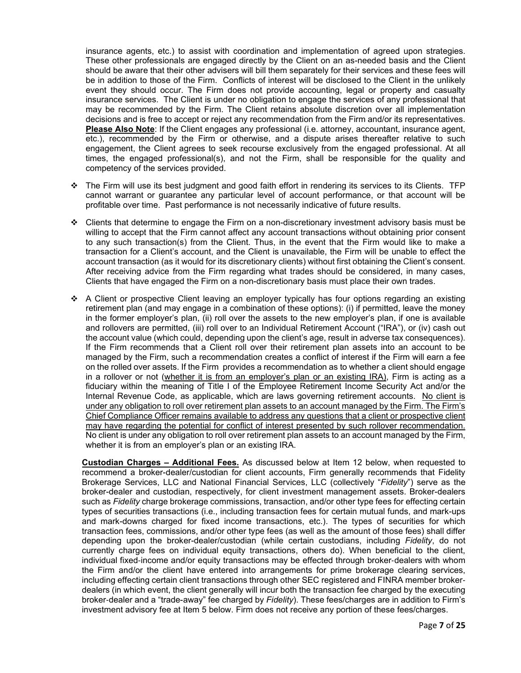insurance agents, etc.) to assist with coordination and implementation of agreed upon strategies. These other professionals are engaged directly by the Client on an as-needed basis and the Client should be aware that their other advisers will bill them separately for their services and these fees will be in addition to those of the Firm. Conflicts of interest will be disclosed to the Client in the unlikely event they should occur. The Firm does not provide accounting, legal or property and casualty insurance services. The Client is under no obligation to engage the services of any professional that may be recommended by the Firm. The Client retains absolute discretion over all implementation decisions and is free to accept or reject any recommendation from the Firm and/or its representatives. **Please Also Note**: If the Client engages any professional (i.e. attorney, accountant, insurance agent, etc.), recommended by the Firm or otherwise, and a dispute arises thereafter relative to such engagement, the Client agrees to seek recourse exclusively from the engaged professional. At all times, the engaged professional(s), and not the Firm, shall be responsible for the quality and competency of the services provided.

- $\div$  The Firm will use its best judgment and good faith effort in rendering its services to its Clients. TFP cannot warrant or guarantee any particular level of account performance, or that account will be profitable over time. Past performance is not necessarily indicative of future results.
- $\div$  Clients that determine to engage the Firm on a non-discretionary investment advisory basis must be willing to accept that the Firm cannot affect any account transactions without obtaining prior consent to any such transaction(s) from the Client. Thus, in the event that the Firm would like to make a transaction for a Client's account, and the Client is unavailable, the Firm will be unable to effect the account transaction (as it would for its discretionary clients) without first obtaining the Client's consent. After receiving advice from the Firm regarding what trades should be considered, in many cases, Clients that have engaged the Firm on a non-discretionary basis must place their own trades.
- A Client or prospective Client leaving an employer typically has four options regarding an existing retirement plan (and may engage in a combination of these options): (i) if permitted, leave the money in the former employer's plan, (ii) roll over the assets to the new employer's plan, if one is available and rollovers are permitted, (iii) roll over to an Individual Retirement Account ("IRA"), or (iv) cash out the account value (which could, depending upon the client's age, result in adverse tax consequences). If the Firm recommends that a Client roll over their retirement plan assets into an account to be managed by the Firm, such a recommendation creates a conflict of interest if the Firm will earn a fee on the rolled over assets. If the Firm provides a recommendation as to whether a client should engage in a rollover or not (whether it is from an employer's plan or an existing IRA), Firm is acting as a fiduciary within the meaning of Title I of the Employee Retirement Income Security Act and/or the Internal Revenue Code, as applicable, which are laws governing retirement accounts. No client is under any obligation to roll over retirement plan assets to an account managed by the Firm. The Firm's Chief Compliance Officer remains available to address any questions that a client or prospective client may have regarding the potential for conflict of interest presented by such rollover recommendation. No client is under any obligation to roll over retirement plan assets to an account managed by the Firm, whether it is from an employer's plan or an existing IRA.

**Custodian Charges – Additional Fees.** As discussed below at Item 12 below, when requested to recommend a broker-dealer/custodian for client accounts, Firm generally recommends that Fidelity Brokerage Services, LLC and National Financial Services, LLC (collectively "*Fidelity*") serve as the broker-dealer and custodian, respectively, for client investment management assets. Broker-dealers such as *Fidelity* charge brokerage commissions, transaction, and/or other type fees for effecting certain types of securities transactions (i.e., including transaction fees for certain mutual funds, and mark-ups and mark-downs charged for fixed income transactions, etc.). The types of securities for which transaction fees, commissions, and/or other type fees (as well as the amount of those fees) shall differ depending upon the broker-dealer/custodian (while certain custodians, including *Fidelity*, do not currently charge fees on individual equity transactions, others do). When beneficial to the client, individual fixed‐income and/or equity transactions may be effected through broker‐dealers with whom the Firm and/or the client have entered into arrangements for prime brokerage clearing services, including effecting certain client transactions through other SEC registered and FINRA member broker‐ dealers (in which event, the client generally will incur both the transaction fee charged by the executing broker‐dealer and a "trade-away" fee charged by *Fidelity*). These fees/charges are in addition to Firm's investment advisory fee at Item 5 below. Firm does not receive any portion of these fees/charges.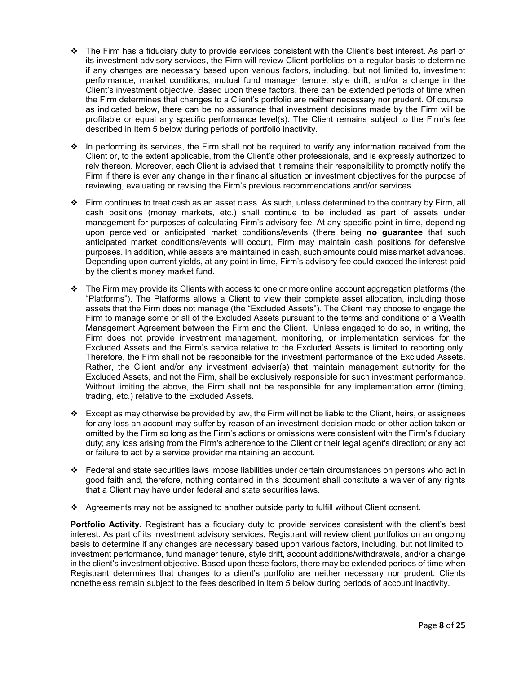- $\div$  The Firm has a fiduciary duty to provide services consistent with the Client's best interest. As part of its investment advisory services, the Firm will review Client portfolios on a regular basis to determine if any changes are necessary based upon various factors, including, but not limited to, investment performance, market conditions, mutual fund manager tenure, style drift, and/or a change in the Client's investment objective. Based upon these factors, there can be extended periods of time when the Firm determines that changes to a Client's portfolio are neither necessary nor prudent. Of course, as indicated below, there can be no assurance that investment decisions made by the Firm will be profitable or equal any specific performance level(s). The Client remains subject to the Firm's fee described in Item 5 below during periods of portfolio inactivity.
- $\cdot \cdot$  In performing its services, the Firm shall not be required to verify any information received from the Client or, to the extent applicable, from the Client's other professionals, and is expressly authorized to rely thereon. Moreover, each Client is advised that it remains their responsibility to promptly notify the Firm if there is ever any change in their financial situation or investment objectives for the purpose of reviewing, evaluating or revising the Firm's previous recommendations and/or services.
- $\div$  Firm continues to treat cash as an asset class. As such, unless determined to the contrary by Firm, all cash positions (money markets, etc.) shall continue to be included as part of assets under management for purposes of calculating Firm's advisory fee. At any specific point in time, depending upon perceived or anticipated market conditions/events (there being **no guarantee** that such anticipated market conditions/events will occur), Firm may maintain cash positions for defensive purposes. In addition, while assets are maintained in cash, such amounts could miss market advances. Depending upon current yields, at any point in time, Firm's advisory fee could exceed the interest paid by the client's money market fund.
- $\div$  The Firm may provide its Clients with access to one or more online account aggregation platforms (the "Platforms"). The Platforms allows a Client to view their complete asset allocation, including those assets that the Firm does not manage (the "Excluded Assets"). The Client may choose to engage the Firm to manage some or all of the Excluded Assets pursuant to the terms and conditions of a Wealth Management Agreement between the Firm and the Client. Unless engaged to do so, in writing, the Firm does not provide investment management, monitoring, or implementation services for the Excluded Assets and the Firm's service relative to the Excluded Assets is limited to reporting only. Therefore, the Firm shall not be responsible for the investment performance of the Excluded Assets. Rather, the Client and/or any investment adviser(s) that maintain management authority for the Excluded Assets, and not the Firm, shall be exclusively responsible for such investment performance. Without limiting the above, the Firm shall not be responsible for any implementation error (timing, trading, etc.) relative to the Excluded Assets.
- Except as may otherwise be provided by law, the Firm will not be liable to the Client, heirs, or assignees for any loss an account may suffer by reason of an investment decision made or other action taken or omitted by the Firm so long as the Firm's actions or omissions were consistent with the Firm's fiduciary duty; any loss arising from the Firm's adherence to the Client or their legal agent's direction; or any act or failure to act by a service provider maintaining an account.
- Federal and state securities laws impose liabilities under certain circumstances on persons who act in good faith and, therefore, nothing contained in this document shall constitute a waiver of any rights that a Client may have under federal and state securities laws.
- Agreements may not be assigned to another outside party to fulfill without Client consent.

**Portfolio Activity.** Registrant has a fiduciary duty to provide services consistent with the client's best interest. As part of its investment advisory services, Registrant will review client portfolios on an ongoing basis to determine if any changes are necessary based upon various factors, including, but not limited to, investment performance, fund manager tenure, style drift, account additions/withdrawals, and/or a change in the client's investment objective. Based upon these factors, there may be extended periods of time when Registrant determines that changes to a client's portfolio are neither necessary nor prudent. Clients nonetheless remain subject to the fees described in Item 5 below during periods of account inactivity.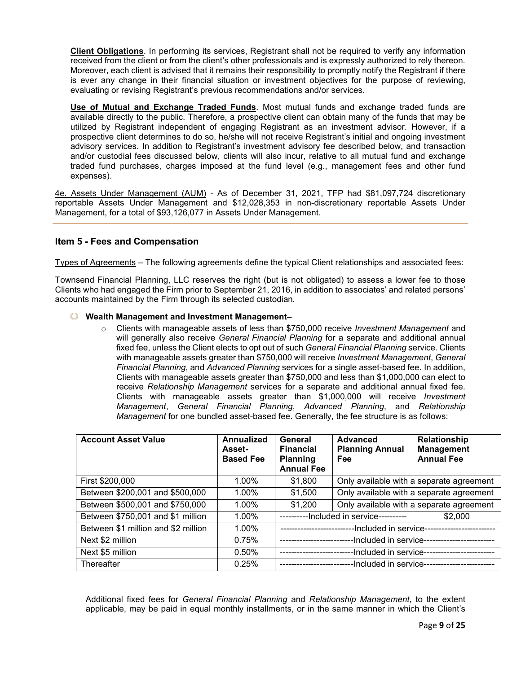**Client Obligations**. In performing its services, Registrant shall not be required to verify any information received from the client or from the client's other professionals and is expressly authorized to rely thereon. Moreover, each client is advised that it remains their responsibility to promptly notify the Registrant if there is ever any change in their financial situation or investment objectives for the purpose of reviewing, evaluating or revising Registrant's previous recommendations and/or services.

**Use of Mutual and Exchange Traded Funds**. Most mutual funds and exchange traded funds are available directly to the public. Therefore, a prospective client can obtain many of the funds that may be utilized by Registrant independent of engaging Registrant as an investment advisor. However, if a prospective client determines to do so, he/she will not receive Registrant's initial and ongoing investment advisory services. In addition to Registrant's investment advisory fee described below, and transaction and/or custodial fees discussed below, clients will also incur, relative to all mutual fund and exchange traded fund purchases, charges imposed at the fund level (e.g., management fees and other fund expenses).

4e. Assets Under Management (AUM) - As of December 31, 2021, TFP had \$81,097,724 discretionary reportable Assets Under Management and \$12,028,353 in non-discretionary reportable Assets Under Management, for a total of \$93,126,077 in Assets Under Management.

# <span id="page-8-0"></span>**Item 5 - Fees and Compensation**

Types of Agreements – The following agreements define the typical Client relationships and associated fees:

Townsend Financial Planning, LLC reserves the right (but is not obligated) to assess a lower fee to those Clients who had engaged the Firm prior to September 21, 2016, in addition to associates' and related persons' accounts maintained by the Firm through its selected custodian*.*

#### **Wealth Management and Investment Management–**

o Clients with manageable assets of less than \$750,000 receive *Investment Management* and will generally also receive *General Financial Planning* for a separate and additional annual fixed fee, unless the Client elects to opt out of such *General Financial Planning* service. Clients with manageable assets greater than \$750,000 will receive *Investment Management*, *General Financial Planning*, and *Advanced Planning* services for a single asset-based fee. In addition, Clients with manageable assets greater than \$750,000 and less than \$1,000,000 can elect to receive *Relationship Management* services for a separate and additional annual fixed fee. Clients with manageable assets greater than \$1,000,000 will receive *Investment Management*, *General Financial Planning*, *Advanced Planning*, and *Relationship Management* for one bundled asset-based fee. Generally, the fee structure is as follows:

| <b>Account Asset Value</b>          | Annualized<br><b>Asset-</b><br><b>Based Fee</b> | General<br><b>Financial</b><br><b>Planning</b><br><b>Annual Fee</b> | Advanced<br><b>Planning Annual</b><br>Fee | Relationship<br><b>Management</b><br><b>Annual Fee</b> |
|-------------------------------------|-------------------------------------------------|---------------------------------------------------------------------|-------------------------------------------|--------------------------------------------------------|
| First \$200,000                     | 1.00%                                           | \$1,800                                                             | Only available with a separate agreement  |                                                        |
| Between \$200,001 and \$500,000     | 1.00%                                           | \$1,500                                                             | Only available with a separate agreement  |                                                        |
| Between \$500,001 and \$750,000     | $1.00\%$                                        | \$1,200                                                             | Only available with a separate agreement  |                                                        |
| Between \$750,001 and \$1 million   | 1.00%                                           | -Included in service----------<br>\$2,000                           |                                           |                                                        |
| Between \$1 million and \$2 million | 1.00%                                           | -Included in service---------------------                           |                                           |                                                        |
| Next \$2 million                    | 0.75%                                           | -Included in service--                                              |                                           |                                                        |
| Next \$5 million                    | $0.50\%$                                        | -Included in service--<br>---------------------                     |                                           |                                                        |
| Thereafter                          | 0.25%                                           | --Included in service--                                             |                                           |                                                        |

Additional fixed fees for *General Financial Planning* and *Relationship Management*, to the extent applicable, may be paid in equal monthly installments, or in the same manner in which the Client's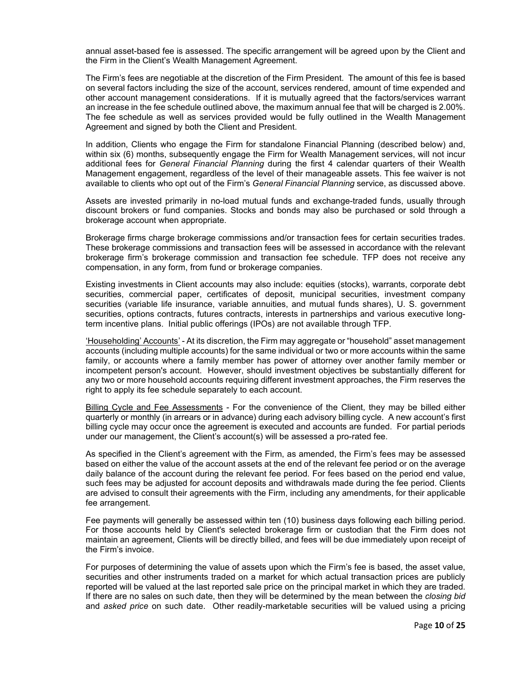annual asset-based fee is assessed. The specific arrangement will be agreed upon by the Client and the Firm in the Client's Wealth Management Agreement.

The Firm's fees are negotiable at the discretion of the Firm President. The amount of this fee is based on several factors including the size of the account, services rendered, amount of time expended and other account management considerations. If it is mutually agreed that the factors/services warrant an increase in the fee schedule outlined above, the maximum annual fee that will be charged is 2.00%. The fee schedule as well as services provided would be fully outlined in the Wealth Management Agreement and signed by both the Client and President.

In addition, Clients who engage the Firm for standalone Financial Planning (described below) and, within six (6) months, subsequently engage the Firm for Wealth Management services, will not incur additional fees for *General Financial Planning* during the first 4 calendar quarters of their Wealth Management engagement, regardless of the level of their manageable assets. This fee waiver is not available to clients who opt out of the Firm's *General Financial Planning* service, as discussed above.

Assets are invested primarily in no-load mutual funds and exchange-traded funds, usually through discount brokers or fund companies. Stocks and bonds may also be purchased or sold through a brokerage account when appropriate.

Brokerage firms charge brokerage commissions and/or transaction fees for certain securities trades. These brokerage commissions and transaction fees will be assessed in accordance with the relevant brokerage firm's brokerage commission and transaction fee schedule. TFP does not receive any compensation, in any form, from fund or brokerage companies.

Existing investments in Client accounts may also include: equities (stocks), warrants, corporate debt securities, commercial paper, certificates of deposit, municipal securities, investment company securities (variable life insurance, variable annuities, and mutual funds shares), U. S. government securities, options contracts, futures contracts, interests in partnerships and various executive longterm incentive plans. Initial public offerings (IPOs) are not available through TFP.

'Householding' Accounts' - At its discretion, the Firm may aggregate or "household" asset management accounts (including multiple accounts) for the same individual or two or more accounts within the same family, or accounts where a family member has power of attorney over another family member or incompetent person's account. However, should investment objectives be substantially different for any two or more household accounts requiring different investment approaches, the Firm reserves the right to apply its fee schedule separately to each account.

Billing Cycle and Fee Assessments - For the convenience of the Client, they may be billed either quarterly or monthly (in arrears or in advance) during each advisory billing cycle. A new account's first billing cycle may occur once the agreement is executed and accounts are funded. For partial periods under our management, the Client's account(s) will be assessed a pro-rated fee.

As specified in the Client's agreement with the Firm, as amended, the Firm's fees may be assessed based on either the value of the account assets at the end of the relevant fee period or on the average daily balance of the account during the relevant fee period. For fees based on the period end value, such fees may be adjusted for account deposits and withdrawals made during the fee period. Clients are advised to consult their agreements with the Firm, including any amendments, for their applicable fee arrangement.

Fee payments will generally be assessed within ten (10) business days following each billing period. For those accounts held by Client's selected brokerage firm or custodian that the Firm does not maintain an agreement, Clients will be directly billed, and fees will be due immediately upon receipt of the Firm's invoice.

For purposes of determining the value of assets upon which the Firm's fee is based, the asset value, securities and other instruments traded on a market for which actual transaction prices are publicly reported will be valued at the last reported sale price on the principal market in which they are traded. If there are no sales on such date, then they will be determined by the mean between the *closing bid* and *asked price* on such date. Other readily-marketable securities will be valued using a pricing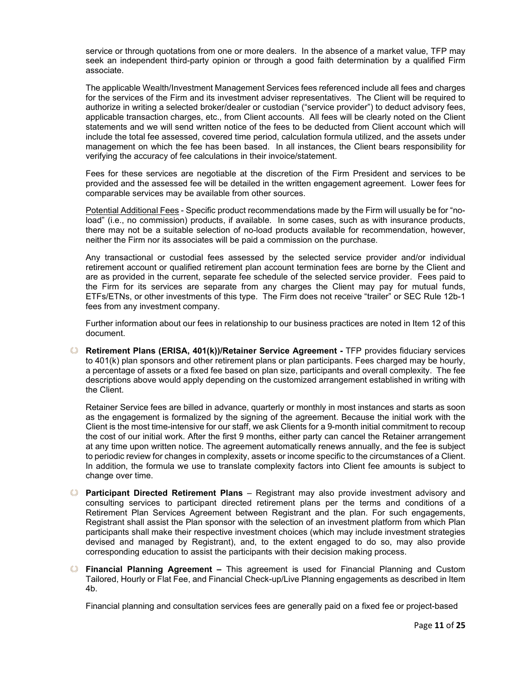service or through quotations from one or more dealers. In the absence of a market value, TFP may seek an independent third-party opinion or through a good faith determination by a qualified Firm associate.

The applicable Wealth/Investment Management Services fees referenced include all fees and charges for the services of the Firm and its investment adviser representatives. The Client will be required to authorize in writing a selected broker/dealer or custodian ("service provider") to deduct advisory fees, applicable transaction charges, etc., from Client accounts. All fees will be clearly noted on the Client statements and we will send written notice of the fees to be deducted from Client account which will include the total fee assessed, covered time period, calculation formula utilized, and the assets under management on which the fee has been based. In all instances, the Client bears responsibility for verifying the accuracy of fee calculations in their invoice/statement.

Fees for these services are negotiable at the discretion of the Firm President and services to be provided and the assessed fee will be detailed in the written engagement agreement. Lower fees for comparable services may be available from other sources.

Potential Additional Fees - Specific product recommendations made by the Firm will usually be for "noload" (i.e., no commission) products, if available. In some cases, such as with insurance products, there may not be a suitable selection of no-load products available for recommendation, however, neither the Firm nor its associates will be paid a commission on the purchase.

Any transactional or custodial fees assessed by the selected service provider and/or individual retirement account or qualified retirement plan account termination fees are borne by the Client and are as provided in the current, separate fee schedule of the selected service provider. Fees paid to the Firm for its services are separate from any charges the Client may pay for mutual funds, ETFs/ETNs, or other investments of this type. The Firm does not receive "trailer" or SEC Rule 12b-1 fees from any investment company.

Further information about our fees in relationship to our business practices are noted in Item 12 of this document.

**Retirement Plans (ERISA, 401(k))/Retainer Service Agreement -** TFP provides fiduciary services to 401(k) plan sponsors and other retirement plans or plan participants. Fees charged may be hourly, a percentage of assets or a fixed fee based on plan size, participants and overall complexity. The fee descriptions above would apply depending on the customized arrangement established in writing with the Client.

Retainer Service fees are billed in advance, quarterly or monthly in most instances and starts as soon as the engagement is formalized by the signing of the agreement. Because the initial work with the Client is the most time-intensive for our staff, we ask Clients for a 9-month initial commitment to recoup the cost of our initial work. After the first 9 months, either party can cancel the Retainer arrangement at any time upon written notice. The agreement automatically renews annually, and the fee is subject to periodic review for changes in complexity, assets or income specific to the circumstances of a Client. In addition, the formula we use to translate complexity factors into Client fee amounts is subject to change over time.

- **Participant Directed Retirement Plans** Registrant may also provide investment advisory and consulting services to participant directed retirement plans per the terms and conditions of a Retirement Plan Services Agreement between Registrant and the plan. For such engagements, Registrant shall assist the Plan sponsor with the selection of an investment platform from which Plan participants shall make their respective investment choices (which may include investment strategies devised and managed by Registrant), and, to the extent engaged to do so, may also provide corresponding education to assist the participants with their decision making process.
- **Financial Planning Agreement** This agreement is used for Financial Planning and Custom Tailored, Hourly or Flat Fee, and Financial Check-up/Live Planning engagements as described in Item 4b.

Financial planning and consultation services fees are generally paid on a fixed fee or project-based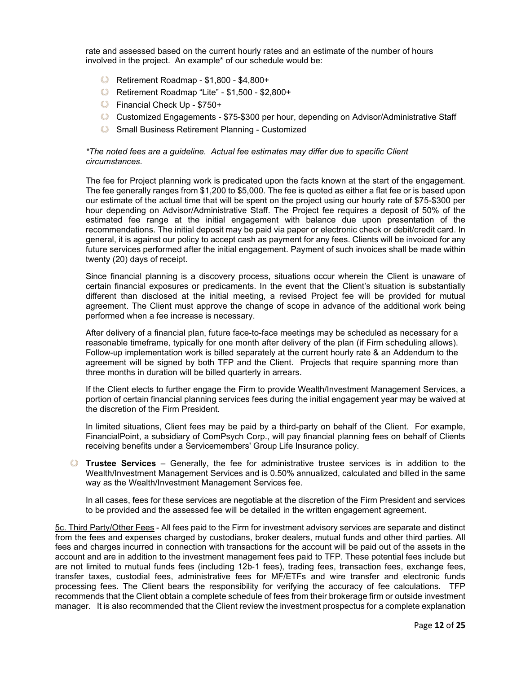rate and assessed based on the current hourly rates and an estimate of the number of hours involved in the project. An example\* of our schedule would be:

- Retirement Roadmap \$1,800 \$4,800+
- Retirement Roadmap "Lite" \$1,500 \$2,800+
- Financial Check Up \$750+
- Customized Engagements \$75-\$300 per hour, depending on Advisor/Administrative Staff
- **Small Business Retirement Planning Customized**

#### *\*The noted fees are a guideline. Actual fee estimates may differ due to specific Client circumstances.*

The fee for Project planning work is predicated upon the facts known at the start of the engagement. The fee generally ranges from \$1,200 to \$5,000. The fee is quoted as either a flat fee or is based upon our estimate of the actual time that will be spent on the project using our hourly rate of \$75-\$300 per hour depending on Advisor/Administrative Staff. The Project fee requires a deposit of 50% of the estimated fee range at the initial engagement with balance due upon presentation of the recommendations. The initial deposit may be paid via paper or electronic check or debit/credit card. In general, it is against our policy to accept cash as payment for any fees. Clients will be invoiced for any future services performed after the initial engagement. Payment of such invoices shall be made within twenty (20) days of receipt.

Since financial planning is a discovery process, situations occur wherein the Client is unaware of certain financial exposures or predicaments. In the event that the Client's situation is substantially different than disclosed at the initial meeting, a revised Project fee will be provided for mutual agreement. The Client must approve the change of scope in advance of the additional work being performed when a fee increase is necessary.

After delivery of a financial plan, future face-to-face meetings may be scheduled as necessary for a reasonable timeframe, typically for one month after delivery of the plan (if Firm scheduling allows). Follow-up implementation work is billed separately at the current hourly rate & an Addendum to the agreement will be signed by both TFP and the Client. Projects that require spanning more than three months in duration will be billed quarterly in arrears.

If the Client elects to further engage the Firm to provide Wealth/Investment Management Services, a portion of certain financial planning services fees during the initial engagement year may be waived at the discretion of the Firm President.

In limited situations, Client fees may be paid by a third-party on behalf of the Client. For example, FinancialPoint, a subsidiary of ComPsych Corp., will pay financial planning fees on behalf of Clients receiving benefits under a Servicemembers' Group Life Insurance policy.

**Trustee Services** – Generally, the fee for administrative trustee services is in addition to the Wealth/Investment Management Services and is 0.50% annualized, calculated and billed in the same way as the Wealth/Investment Management Services fee.

In all cases, fees for these services are negotiable at the discretion of the Firm President and services to be provided and the assessed fee will be detailed in the written engagement agreement.

5c. Third Party/Other Fees - All fees paid to the Firm for investment advisory services are separate and distinct from the fees and expenses charged by custodians, broker dealers, mutual funds and other third parties. All fees and charges incurred in connection with transactions for the account will be paid out of the assets in the account and are in addition to the investment management fees paid to TFP. These potential fees include but are not limited to mutual funds fees (including 12b‐1 fees), trading fees, transaction fees, exchange fees, transfer taxes, custodial fees, administrative fees for MF/ETFs and wire transfer and electronic funds processing fees. The Client bears the responsibility for verifying the accuracy of fee calculations. TFP recommends that the Client obtain a complete schedule of fees from their brokerage firm or outside investment manager. It is also recommended that the Client review the investment prospectus for a complete explanation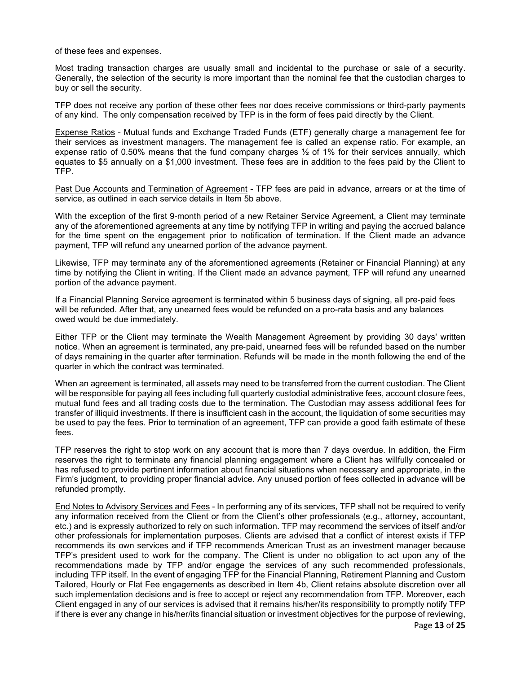of these fees and expenses.

Most trading transaction charges are usually small and incidental to the purchase or sale of a security. Generally, the selection of the security is more important than the nominal fee that the custodian charges to buy or sell the security.

TFP does not receive any portion of these other fees nor does receive commissions or third-party payments of any kind. The only compensation received by TFP is in the form of fees paid directly by the Client.

Expense Ratios - Mutual funds and Exchange Traded Funds (ETF) generally charge a management fee for their services as investment managers. The management fee is called an expense ratio. For example, an expense ratio of 0.50% means that the fund company charges  $\frac{1}{2}$  of 1% for their services annually, which equates to \$5 annually on a \$1,000 investment. These fees are in addition to the fees paid by the Client to TFP.

Past Due Accounts and Termination of Agreement - TFP fees are paid in advance, arrears or at the time of service, as outlined in each service details in Item 5b above.

With the exception of the first 9-month period of a new Retainer Service Agreement, a Client may terminate any of the aforementioned agreements at any time by notifying TFP in writing and paying the accrued balance for the time spent on the engagement prior to notification of termination. If the Client made an advance payment, TFP will refund any unearned portion of the advance payment.

Likewise, TFP may terminate any of the aforementioned agreements (Retainer or Financial Planning) at any time by notifying the Client in writing. If the Client made an advance payment, TFP will refund any unearned portion of the advance payment.

If a Financial Planning Service agreement is terminated within 5 business days of signing, all pre-paid fees will be refunded. After that, any unearned fees would be refunded on a pro-rata basis and any balances owed would be due immediately.

Either TFP or the Client may terminate the Wealth Management Agreement by providing 30 days' written notice. When an agreement is terminated, any pre‐paid, unearned fees will be refunded based on the number of days remaining in the quarter after termination. Refunds will be made in the month following the end of the quarter in which the contract was terminated.

When an agreement is terminated, all assets may need to be transferred from the current custodian. The Client will be responsible for paying all fees including full quarterly custodial administrative fees, account closure fees, mutual fund fees and all trading costs due to the termination. The Custodian may assess additional fees for transfer of illiquid investments. If there is insufficient cash in the account, the liquidation of some securities may be used to pay the fees. Prior to termination of an agreement, TFP can provide a good faith estimate of these fees.

TFP reserves the right to stop work on any account that is more than 7 days overdue. In addition, the Firm reserves the right to terminate any financial planning engagement where a Client has willfully concealed or has refused to provide pertinent information about financial situations when necessary and appropriate, in the Firm's judgment, to providing proper financial advice. Any unused portion of fees collected in advance will be refunded promptly.

End Notes to Advisory Services and Fees - In performing any of its services, TFP shall not be required to verify any information received from the Client or from the Client's other professionals (e.g., attorney, accountant, etc.) and is expressly authorized to rely on such information. TFP may recommend the services of itself and/or other professionals for implementation purposes. Clients are advised that a conflict of interest exists if TFP recommends its own services and if TFP recommends American Trust as an investment manager because TFP's president used to work for the company. The Client is under no obligation to act upon any of the recommendations made by TFP and/or engage the services of any such recommended professionals, including TFP itself. In the event of engaging TFP for the Financial Planning, Retirement Planning and Custom Tailored, Hourly or Flat Fee engagements as described in Item 4b, Client retains absolute discretion over all such implementation decisions and is free to accept or reject any recommendation from TFP. Moreover, each Client engaged in any of our services is advised that it remains his/her/its responsibility to promptly notify TFP if there is ever any change in his/her/its financial situation or investment objectives for the purpose of reviewing,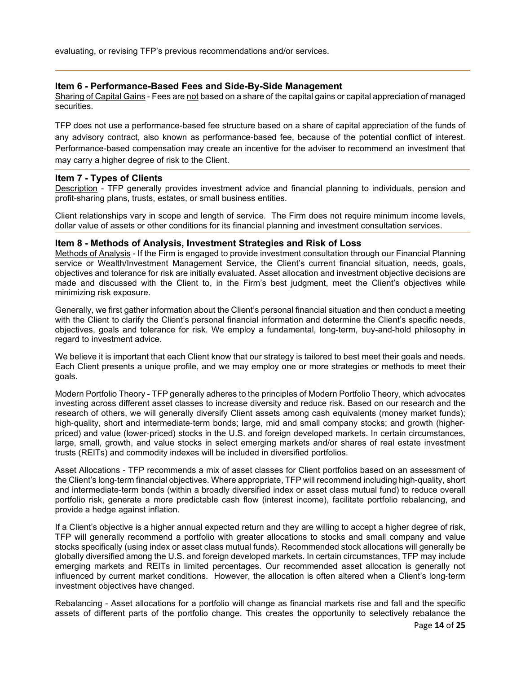evaluating, or revising TFP's previous recommendations and/or services.

## <span id="page-13-0"></span>**Item 6 - Performance-Based Fees and Side-By-Side Management**

Sharing of Capital Gains - Fees are not based on a share of the capital gains or capital appreciation of managed securities.

TFP does not use a performance-based fee structure based on a share of capital appreciation of the funds of any advisory contract, also known as performance-based fee, because of the potential conflict of interest. Performance-based compensation may create an incentive for the adviser to recommend an investment that may carry a higher degree of risk to the Client.

#### <span id="page-13-1"></span>**Item 7 - Types of Clients**

Description - TFP generally provides investment advice and financial planning to individuals, pension and profit-sharing plans, trusts, estates, or small business entities.

Client relationships vary in scope and length of service. The Firm does not require minimum income levels, dollar value of assets or other conditions for its financial planning and investment consultation services.

#### <span id="page-13-2"></span>**Item 8 - Methods of Analysis, Investment Strategies and Risk of Loss**

Methods of Analysis - If the Firm is engaged to provide investment consultation through our Financial Planning service or Wealth/Investment Management Service, the Client's current financial situation, needs, goals, objectives and tolerance for risk are initially evaluated. Asset allocation and investment objective decisions are made and discussed with the Client to, in the Firm's best judgment, meet the Client's objectives while minimizing risk exposure.

Generally, we first gather information about the Client's personal financial situation and then conduct a meeting with the Client to clarify the Client's personal financial information and determine the Client's specific needs, objectives, goals and tolerance for risk. We employ a fundamental, long-term, buy-and-hold philosophy in regard to investment advice.

We believe it is important that each Client know that our strategy is tailored to best meet their goals and needs. Each Client presents a unique profile, and we may employ one or more strategies or methods to meet their goals.

Modern Portfolio Theory - TFP generally adheres to the principles of Modern Portfolio Theory, which advocates investing across different asset classes to increase diversity and reduce risk. Based on our research and the research of others, we will generally diversify Client assets among cash equivalents (money market funds); high-quality, short and intermediate-term bonds; large, mid and small company stocks; and growth (higherpriced) and value (lower‐priced) stocks in the U.S. and foreign developed markets. In certain circumstances, large, small, growth, and value stocks in select emerging markets and/or shares of real estate investment trusts (REITs) and commodity indexes will be included in diversified portfolios.

Asset Allocations - TFP recommends a mix of asset classes for Client portfolios based on an assessment of the Client's long‐term financial objectives. Where appropriate, TFP will recommend including high‐quality, short and intermediate‐term bonds (within a broadly diversified index or asset class mutual fund) to reduce overall portfolio risk, generate a more predictable cash flow (interest income), facilitate portfolio rebalancing, and provide a hedge against inflation.

If a Client's objective is a higher annual expected return and they are willing to accept a higher degree of risk, TFP will generally recommend a portfolio with greater allocations to stocks and small company and value stocks specifically (using index or asset class mutual funds). Recommended stock allocations will generally be globally diversified among the U.S. and foreign developed markets. In certain circumstances, TFP may include emerging markets and REITs in limited percentages. Our recommended asset allocation is generally not influenced by current market conditions. However, the allocation is often altered when a Client's long‐term investment objectives have changed.

Rebalancing - Asset allocations for a portfolio will change as financial markets rise and fall and the specific assets of different parts of the portfolio change. This creates the opportunity to selectively rebalance the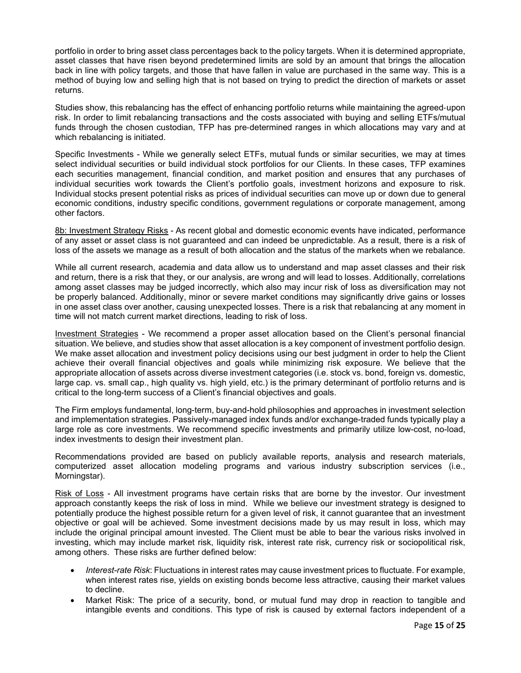portfolio in order to bring asset class percentages back to the policy targets. When it is determined appropriate, asset classes that have risen beyond predetermined limits are sold by an amount that brings the allocation back in line with policy targets, and those that have fallen in value are purchased in the same way. This is a method of buying low and selling high that is not based on trying to predict the direction of markets or asset returns.

Studies show, this rebalancing has the effect of enhancing portfolio returns while maintaining the agreed‐upon risk. In order to limit rebalancing transactions and the costs associated with buying and selling ETFs/mutual funds through the chosen custodian, TFP has pre‐determined ranges in which allocations may vary and at which rebalancing is initiated.

Specific Investments - While we generally select ETFs, mutual funds or similar securities, we may at times select individual securities or build individual stock portfolios for our Clients. In these cases, TFP examines each securities management, financial condition, and market position and ensures that any purchases of individual securities work towards the Client's portfolio goals, investment horizons and exposure to risk. Individual stocks present potential risks as prices of individual securities can move up or down due to general economic conditions, industry specific conditions, government regulations or corporate management, among other factors.

8b: Investment Strategy Risks - As recent global and domestic economic events have indicated, performance of any asset or asset class is not guaranteed and can indeed be unpredictable. As a result, there is a risk of loss of the assets we manage as a result of both allocation and the status of the markets when we rebalance.

While all current research, academia and data allow us to understand and map asset classes and their risk and return, there is a risk that they, or our analysis, are wrong and will lead to losses. Additionally, correlations among asset classes may be judged incorrectly, which also may incur risk of loss as diversification may not be properly balanced. Additionally, minor or severe market conditions may significantly drive gains or losses in one asset class over another, causing unexpected losses. There is a risk that rebalancing at any moment in time will not match current market directions, leading to risk of loss.

Investment Strategies - We recommend a proper asset allocation based on the Client's personal financial situation. We believe, and studies show that asset allocation is a key component of investment portfolio design. We make asset allocation and investment policy decisions using our best judgment in order to help the Client achieve their overall financial objectives and goals while minimizing risk exposure. We believe that the appropriate allocation of assets across diverse investment categories (i.e. stock vs. bond, foreign vs. domestic, large cap. vs. small cap., high quality vs. high yield, etc.) is the primary determinant of portfolio returns and is critical to the long-term success of a Client's financial objectives and goals.

The Firm employs fundamental, long-term, buy-and-hold philosophies and approaches in investment selection and implementation strategies. Passively-managed index funds and/or exchange-traded funds typically play a large role as core investments. We recommend specific investments and primarily utilize low-cost, no-load, index investments to design their investment plan.

Recommendations provided are based on publicly available reports, analysis and research materials, computerized asset allocation modeling programs and various industry subscription services (i.e., Morningstar).

Risk of Loss - All investment programs have certain risks that are borne by the investor. Our investment approach constantly keeps the risk of loss in mind. While we believe our investment strategy is designed to potentially produce the highest possible return for a given level of risk, it cannot guarantee that an investment objective or goal will be achieved. Some investment decisions made by us may result in loss, which may include the original principal amount invested. The Client must be able to bear the various risks involved in investing, which may include market risk, liquidity risk, interest rate risk, currency risk or sociopolitical risk, among others. These risks are further defined below:

- *Interest-rate Risk*: Fluctuations in interest rates may cause investment prices to fluctuate. For example, when interest rates rise, yields on existing bonds become less attractive, causing their market values to decline.
- Market Risk: The price of a security, bond, or mutual fund may drop in reaction to tangible and intangible events and conditions. This type of risk is caused by external factors independent of a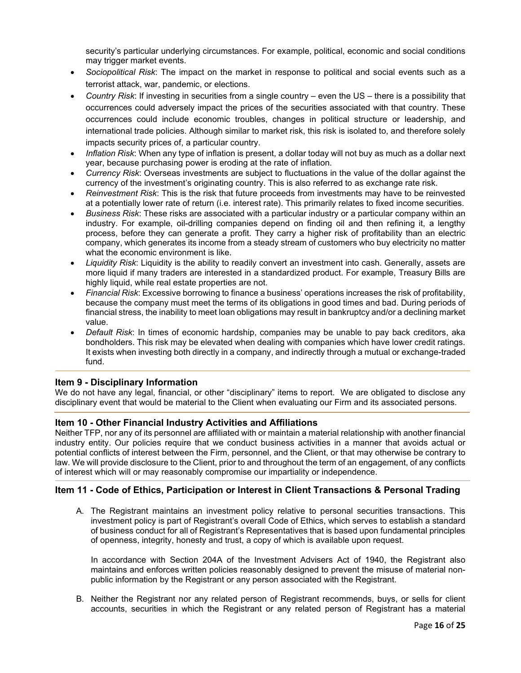security's particular underlying circumstances. For example, political, economic and social conditions may trigger market events.

- *Sociopolitical Risk*: The impact on the market in response to political and social events such as a terrorist attack, war, pandemic, or elections.
- *Country Risk*: If investing in securities from a single country even the US there is a possibility that occurrences could adversely impact the prices of the securities associated with that country. These occurrences could include economic troubles, changes in political structure or leadership, and international trade policies. Although similar to market risk, this risk is isolated to, and therefore solely impacts security prices of, a particular country.
- *Inflation Risk*: When any type of inflation is present, a dollar today will not buy as much as a dollar next year, because purchasing power is eroding at the rate of inflation.
- *Currency Risk*: Overseas investments are subject to fluctuations in the value of the dollar against the currency of the investment's originating country. This is also referred to as exchange rate risk.
- *Reinvestment Risk*: This is the risk that future proceeds from investments may have to be reinvested at a potentially lower rate of return (i.e. interest rate). This primarily relates to fixed income securities.
- *Business Risk*: These risks are associated with a particular industry or a particular company within an industry. For example, oil-drilling companies depend on finding oil and then refining it, a lengthy process, before they can generate a profit. They carry a higher risk of profitability than an electric company, which generates its income from a steady stream of customers who buy electricity no matter what the economic environment is like.
- *Liquidity Risk*: Liquidity is the ability to readily convert an investment into cash. Generally, assets are more liquid if many traders are interested in a standardized product. For example, Treasury Bills are highly liquid, while real estate properties are not.
- *Financial Risk*: Excessive borrowing to finance a business' operations increases the risk of profitability, because the company must meet the terms of its obligations in good times and bad. During periods of financial stress, the inability to meet loan obligations may result in bankruptcy and/or a declining market value.
- *Default Risk*: In times of economic hardship, companies may be unable to pay back creditors, aka bondholders. This risk may be elevated when dealing with companies which have lower credit ratings. It exists when investing both directly in a company, and indirectly through a mutual or exchange-traded fund.

# <span id="page-15-0"></span>**Item 9 - Disciplinary Information**

We do not have any legal, financial, or other "disciplinary" items to report. We are obligated to disclose any disciplinary event that would be material to the Client when evaluating our Firm and its associated persons.

# <span id="page-15-1"></span>**Item 10 - Other Financial Industry Activities and Affiliations**

Neither TFP, nor any of its personnel are affiliated with or maintain a material relationship with another financial industry entity. Our policies require that we conduct business activities in a manner that avoids actual or potential conflicts of interest between the Firm, personnel, and the Client, or that may otherwise be contrary to law. We will provide disclosure to the Client, prior to and throughout the term of an engagement, of any conflicts of interest which will or may reasonably compromise our impartiality or independence.

# <span id="page-15-2"></span>**Item 11 - Code of Ethics, Participation or Interest in Client Transactions & Personal Trading**

A. The Registrant maintains an investment policy relative to personal securities transactions. This investment policy is part of Registrant's overall Code of Ethics, which serves to establish a standard of business conduct for all of Registrant's Representatives that is based upon fundamental principles of openness, integrity, honesty and trust, a copy of which is available upon request.

In accordance with Section 204A of the Investment Advisers Act of 1940, the Registrant also maintains and enforces written policies reasonably designed to prevent the misuse of material nonpublic information by the Registrant or any person associated with the Registrant.

B. Neither the Registrant nor any related person of Registrant recommends, buys, or sells for client accounts, securities in which the Registrant or any related person of Registrant has a material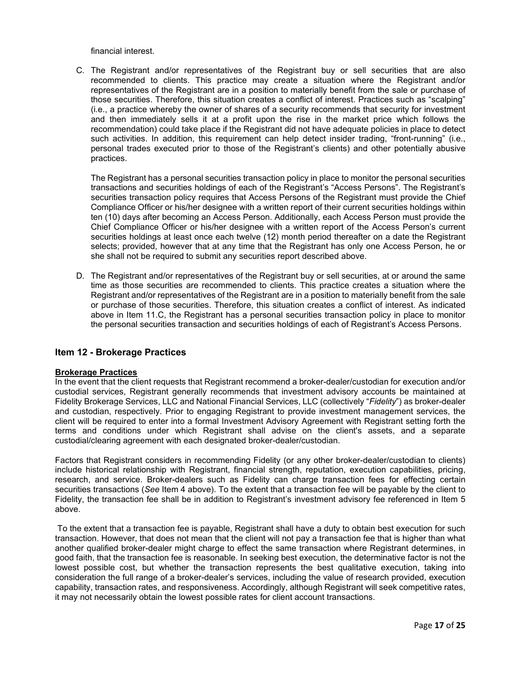financial interest.

C. The Registrant and/or representatives of the Registrant buy or sell securities that are also recommended to clients. This practice may create a situation where the Registrant and/or representatives of the Registrant are in a position to materially benefit from the sale or purchase of those securities. Therefore, this situation creates a conflict of interest. Practices such as "scalping" (i.e., a practice whereby the owner of shares of a security recommends that security for investment and then immediately sells it at a profit upon the rise in the market price which follows the recommendation) could take place if the Registrant did not have adequate policies in place to detect such activities. In addition, this requirement can help detect insider trading, "front-running" (i.e., personal trades executed prior to those of the Registrant's clients) and other potentially abusive practices.

The Registrant has a personal securities transaction policy in place to monitor the personal securities transactions and securities holdings of each of the Registrant's "Access Persons". The Registrant's securities transaction policy requires that Access Persons of the Registrant must provide the Chief Compliance Officer or his/her designee with a written report of their current securities holdings within ten (10) days after becoming an Access Person. Additionally, each Access Person must provide the Chief Compliance Officer or his/her designee with a written report of the Access Person's current securities holdings at least once each twelve (12) month period thereafter on a date the Registrant selects; provided, however that at any time that the Registrant has only one Access Person, he or she shall not be required to submit any securities report described above.

D. The Registrant and/or representatives of the Registrant buy or sell securities, at or around the same time as those securities are recommended to clients. This practice creates a situation where the Registrant and/or representatives of the Registrant are in a position to materially benefit from the sale or purchase of those securities. Therefore, this situation creates a conflict of interest. As indicated above in Item 11.C, the Registrant has a personal securities transaction policy in place to monitor the personal securities transaction and securities holdings of each of Registrant's Access Persons.

# <span id="page-16-0"></span>**Item 12 - Brokerage Practices**

#### **Brokerage Practices**

In the event that the client requests that Registrant recommend a broker-dealer/custodian for execution and/or custodial services, Registrant generally recommends that investment advisory accounts be maintained at Fidelity Brokerage Services, LLC and National Financial Services, LLC (collectively "*Fidelity*") as broker-dealer and custodian, respectively. Prior to engaging Registrant to provide investment management services, the client will be required to enter into a formal Investment Advisory Agreement with Registrant setting forth the terms and conditions under which Registrant shall advise on the client's assets, and a separate custodial/clearing agreement with each designated broker-dealer/custodian.

Factors that Registrant considers in recommending Fidelity (or any other broker-dealer/custodian to clients) include historical relationship with Registrant, financial strength, reputation, execution capabilities, pricing, research, and service. Broker-dealers such as Fidelity can charge transaction fees for effecting certain securities transactions (*See* Item 4 above). To the extent that a transaction fee will be payable by the client to Fidelity, the transaction fee shall be in addition to Registrant's investment advisory fee referenced in Item 5 above.

To the extent that a transaction fee is payable, Registrant shall have a duty to obtain best execution for such transaction. However, that does not mean that the client will not pay a transaction fee that is higher than what another qualified broker-dealer might charge to effect the same transaction where Registrant determines, in good faith, that the transaction fee is reasonable. In seeking best execution, the determinative factor is not the lowest possible cost, but whether the transaction represents the best qualitative execution, taking into consideration the full range of a broker-dealer's services, including the value of research provided, execution capability, transaction rates, and responsiveness. Accordingly, although Registrant will seek competitive rates, it may not necessarily obtain the lowest possible rates for client account transactions.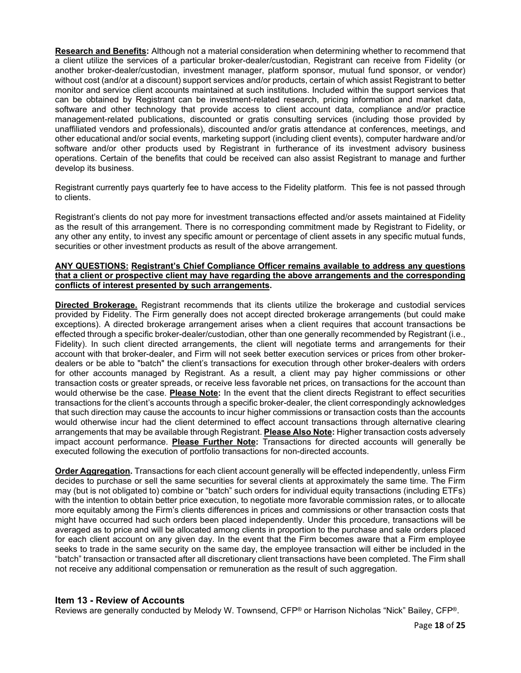**Research and Benefits:** Although not a material consideration when determining whether to recommend that a client utilize the services of a particular broker-dealer/custodian, Registrant can receive from Fidelity (or another broker-dealer/custodian, investment manager, platform sponsor, mutual fund sponsor, or vendor) without cost (and/or at a discount) support services and/or products, certain of which assist Registrant to better monitor and service client accounts maintained at such institutions. Included within the support services that can be obtained by Registrant can be investment-related research, pricing information and market data, software and other technology that provide access to client account data, compliance and/or practice management-related publications, discounted or gratis consulting services (including those provided by unaffiliated vendors and professionals), discounted and/or gratis attendance at conferences, meetings, and other educational and/or social events, marketing support (including client events), computer hardware and/or software and/or other products used by Registrant in furtherance of its investment advisory business operations. Certain of the benefits that could be received can also assist Registrant to manage and further develop its business.

Registrant currently pays quarterly fee to have access to the Fidelity platform. This fee is not passed through to clients.

Registrant's clients do not pay more for investment transactions effected and/or assets maintained at Fidelity as the result of this arrangement. There is no corresponding commitment made by Registrant to Fidelity, or any other any entity, to invest any specific amount or percentage of client assets in any specific mutual funds, securities or other investment products as result of the above arrangement.

#### **ANY QUESTIONS: Registrant's Chief Compliance Officer remains available to address any questions that a client or prospective client may have regarding the above arrangements and the corresponding conflicts of interest presented by such arrangements.**

**Directed Brokerage.** Registrant recommends that its clients utilize the brokerage and custodial services provided by Fidelity. The Firm generally does not accept directed brokerage arrangements (but could make exceptions). A directed brokerage arrangement arises when a client requires that account transactions be effected through a specific broker-dealer/custodian, other than one generally recommended by Registrant (i.e., Fidelity). In such client directed arrangements, the client will negotiate terms and arrangements for their account with that broker-dealer, and Firm will not seek better execution services or prices from other brokerdealers or be able to "batch" the client's transactions for execution through other broker-dealers with orders for other accounts managed by Registrant. As a result, a client may pay higher commissions or other transaction costs or greater spreads, or receive less favorable net prices, on transactions for the account than would otherwise be the case. **Please Note:** In the event that the client directs Registrant to effect securities transactions for the client's accounts through a specific broker-dealer, the client correspondingly acknowledges that such direction may cause the accounts to incur higher commissions or transaction costs than the accounts would otherwise incur had the client determined to effect account transactions through alternative clearing arrangements that may be available through Registrant. **Please Also Note:** Higher transaction costs adversely impact account performance. **Please Further Note:** Transactions for directed accounts will generally be executed following the execution of portfolio transactions for non-directed accounts.

**Order Aggregation.** Transactions for each client account generally will be effected independently, unless Firm decides to purchase or sell the same securities for several clients at approximately the same time. The Firm may (but is not obligated to) combine or "batch" such orders for individual equity transactions (including ETFs) with the intention to obtain better price execution, to negotiate more favorable commission rates, or to allocate more equitably among the Firm's clients differences in prices and commissions or other transaction costs that might have occurred had such orders been placed independently. Under this procedure, transactions will be averaged as to price and will be allocated among clients in proportion to the purchase and sale orders placed for each client account on any given day. In the event that the Firm becomes aware that a Firm employee seeks to trade in the same security on the same day, the employee transaction will either be included in the "batch" transaction or transacted after all discretionary client transactions have been completed. The Firm shall not receive any additional compensation or remuneration as the result of such aggregation.

# <span id="page-17-0"></span>**Item 13 - Review of Accounts**

Reviews are generally conducted by Melody W. Townsend, CFP® or Harrison Nicholas "Nick" Bailey, CFP®.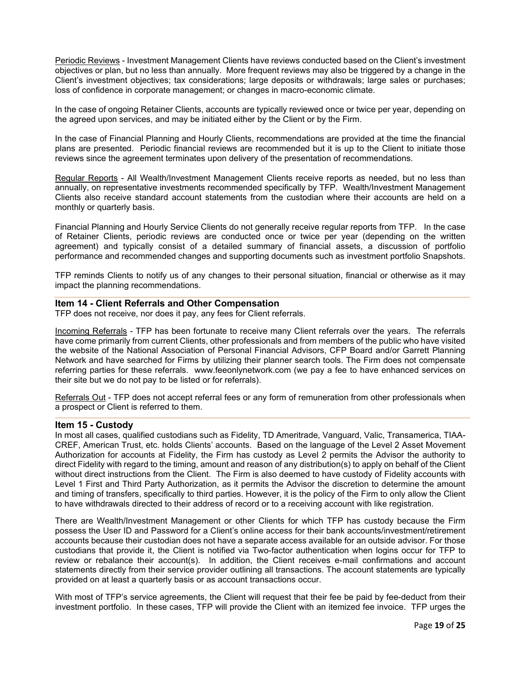Periodic Reviews - Investment Management Clients have reviews conducted based on the Client's investment objectives or plan, but no less than annually. More frequent reviews may also be triggered by a change in the Client's investment objectives; tax considerations; large deposits or withdrawals; large sales or purchases; loss of confidence in corporate management; or changes in macro-economic climate.

In the case of ongoing Retainer Clients, accounts are typically reviewed once or twice per year, depending on the agreed upon services, and may be initiated either by the Client or by the Firm.

In the case of Financial Planning and Hourly Clients, recommendations are provided at the time the financial plans are presented. Periodic financial reviews are recommended but it is up to the Client to initiate those reviews since the agreement terminates upon delivery of the presentation of recommendations.

Regular Reports - All Wealth/Investment Management Clients receive reports as needed, but no less than annually, on representative investments recommended specifically by TFP. Wealth/Investment Management Clients also receive standard account statements from the custodian where their accounts are held on a monthly or quarterly basis.

Financial Planning and Hourly Service Clients do not generally receive regular reports from TFP. In the case of Retainer Clients, periodic reviews are conducted once or twice per year (depending on the written agreement) and typically consist of a detailed summary of financial assets, a discussion of portfolio performance and recommended changes and supporting documents such as investment portfolio Snapshots.

TFP reminds Clients to notify us of any changes to their personal situation, financial or otherwise as it may impact the planning recommendations.

#### <span id="page-18-0"></span>**Item 14 - Client Referrals and Other Compensation**

TFP does not receive, nor does it pay, any fees for Client referrals.

Incoming Referrals - TFP has been fortunate to receive many Client referrals over the years. The referrals have come primarily from current Clients, other professionals and from members of the public who have visited the website of the National Association of Personal Financial Advisors, CFP Board and/or Garrett Planning Network and have searched for Firms by utilizing their planner search tools. The Firm does not compensate referring parties for these referrals. www.feeonlynetwork.com (we pay a fee to have enhanced services on their site but we do not pay to be listed or for referrals).

Referrals Out - TFP does not accept referral fees or any form of remuneration from other professionals when a prospect or Client is referred to them.

#### <span id="page-18-1"></span>**Item 15 - Custody**

In most all cases, qualified custodians such as Fidelity, TD Ameritrade, Vanguard, Valic, Transamerica, TIAA-CREF, American Trust, etc. holds Clients' accounts. Based on the language of the Level 2 Asset Movement Authorization for accounts at Fidelity, the Firm has custody as Level 2 permits the Advisor the authority to direct Fidelity with regard to the timing, amount and reason of any distribution(s) to apply on behalf of the Client without direct instructions from the Client. The Firm is also deemed to have custody of Fidelity accounts with Level 1 First and Third Party Authorization, as it permits the Advisor the discretion to determine the amount and timing of transfers, specifically to third parties. However, it is the policy of the Firm to only allow the Client to have withdrawals directed to their address of record or to a receiving account with like registration.

There are Wealth/Investment Management or other Clients for which TFP has custody because the Firm possess the User ID and Password for a Client's online access for their bank accounts/investment/retirement accounts because their custodian does not have a separate access available for an outside advisor. For those custodians that provide it, the Client is notified via Two-factor authentication when logins occur for TFP to review or rebalance their account(s). In addition, the Client receives e-mail confirmations and account statements directly from their service provider outlining all transactions. The account statements are typically provided on at least a quarterly basis or as account transactions occur.

With most of TFP's service agreements, the Client will request that their fee be paid by fee-deduct from their investment portfolio. In these cases, TFP will provide the Client with an itemized fee invoice. TFP urges the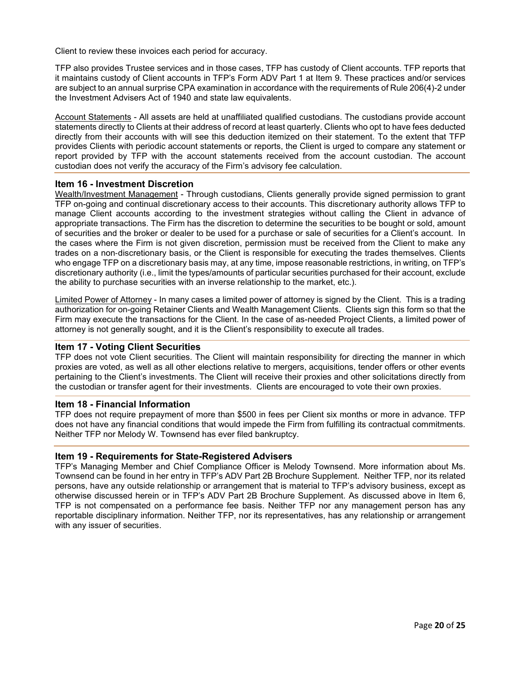Client to review these invoices each period for accuracy.

TFP also provides Trustee services and in those cases, TFP has custody of Client accounts. TFP reports that it maintains custody of Client accounts in TFP's Form ADV Part 1 at Item 9. These practices and/or services are subject to an annual surprise CPA examination in accordance with the requirements of Rule 206(4)-2 under the Investment Advisers Act of 1940 and state law equivalents.

Account Statements - All assets are held at unaffiliated qualified custodians. The custodians provide account statements directly to Clients at their address of record at least quarterly. Clients who opt to have fees deducted directly from their accounts with will see this deduction itemized on their statement. To the extent that TFP provides Clients with periodic account statements or reports, the Client is urged to compare any statement or report provided by TFP with the account statements received from the account custodian. The account custodian does not verify the accuracy of the Firm's advisory fee calculation.

#### <span id="page-19-0"></span>**Item 16 - Investment Discretion**

Wealth/Investment Management - Through custodians, Clients generally provide signed permission to grant TFP on-going and continual discretionary access to their accounts. This discretionary authority allows TFP to manage Client accounts according to the investment strategies without calling the Client in advance of appropriate transactions. The Firm has the discretion to determine the securities to be bought or sold, amount of securities and the broker or dealer to be used for a purchase or sale of securities for a Client's account. In the cases where the Firm is not given discretion, permission must be received from the Client to make any trades on a non‐discretionary basis, or the Client is responsible for executing the trades themselves. Clients who engage TFP on a discretionary basis may, at any time, impose reasonable restrictions, in writing, on TFP's discretionary authority (i.e., limit the types/amounts of particular securities purchased for their account, exclude the ability to purchase securities with an inverse relationship to the market, etc.).

Limited Power of Attorney - In many cases a limited power of attorney is signed by the Client. This is a trading authorization for on-going Retainer Clients and Wealth Management Clients. Clients sign this form so that the Firm may execute the transactions for the Client. In the case of as-needed Project Clients, a limited power of attorney is not generally sought, and it is the Client's responsibility to execute all trades.

#### <span id="page-19-1"></span>**Item 17 - Voting Client Securities**

TFP does not vote Client securities. The Client will maintain responsibility for directing the manner in which proxies are voted, as well as all other elections relative to mergers, acquisitions, tender offers or other events pertaining to the Client's investments. The Client will receive their proxies and other solicitations directly from the custodian or transfer agent for their investments. Clients are encouraged to vote their own proxies.

#### <span id="page-19-2"></span>**Item 18 - Financial Information**

TFP does not require prepayment of more than \$500 in fees per Client six months or more in advance. TFP does not have any financial conditions that would impede the Firm from fulfilling its contractual commitments. Neither TFP nor Melody W. Townsend has ever filed bankruptcy.

#### **Item 19 - Requirements for State-Registered Advisers**

TFP's Managing Member and Chief Compliance Officer is Melody Townsend. More information about Ms. Townsend can be found in her entry in TFP's ADV Part 2B Brochure Supplement. Neither TFP, nor its related persons, have any outside relationship or arrangement that is material to TFP's advisory business, except as otherwise discussed herein or in TFP's ADV Part 2B Brochure Supplement. As discussed above in Item 6, TFP is not compensated on a performance fee basis. Neither TFP nor any management person has any reportable disciplinary information. Neither TFP, nor its representatives, has any relationship or arrangement with any issuer of securities.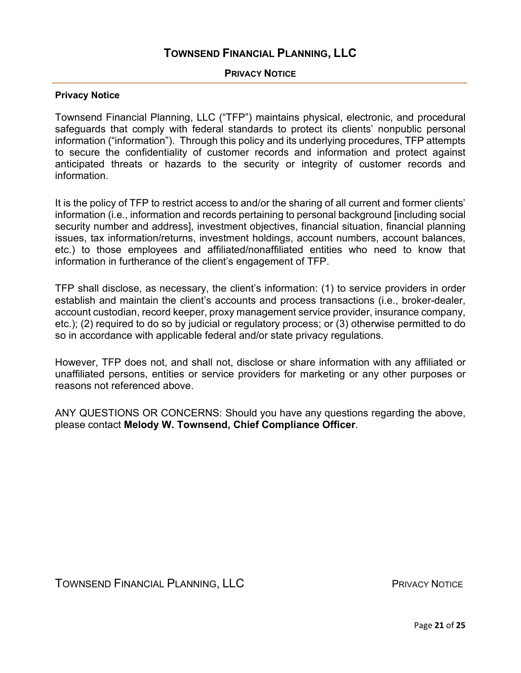# **PRIVACY NOTICE**

# <span id="page-20-0"></span>**Privacy Notice**

Townsend Financial Planning, LLC ("TFP") maintains physical, electronic, and procedural safeguards that comply with federal standards to protect its clients' nonpublic personal information ("information"). Through this policy and its underlying procedures, TFP attempts to secure the confidentiality of customer records and information and protect against anticipated threats or hazards to the security or integrity of customer records and information.

It is the policy of TFP to restrict access to and/or the sharing of all current and former clients' information (i.e., information and records pertaining to personal background [including social security number and address], investment objectives, financial situation, financial planning issues, tax information/returns, investment holdings, account numbers, account balances, etc.) to those employees and affiliated/nonaffiliated entities who need to know that information in furtherance of the client's engagement of TFP.

TFP shall disclose, as necessary, the client's information: (1) to service providers in order establish and maintain the client's accounts and process transactions (i.e., broker-dealer, account custodian, record keeper, proxy management service provider, insurance company, etc.); (2) required to do so by judicial or regulatory process; or (3) otherwise permitted to do so in accordance with applicable federal and/or state privacy regulations.

However, TFP does not, and shall not, disclose or share information with any affiliated or unaffiliated persons, entities or service providers for marketing or any other purposes or reasons not referenced above.

ANY QUESTIONS OR CONCERNS: Should you have any questions regarding the above, please contact **Melody W. Townsend, Chief Compliance Officer**.

TOWNSEND FINANCIAL PLANNING, LLC **Example 20 FINAL PRIVACY NOTICE**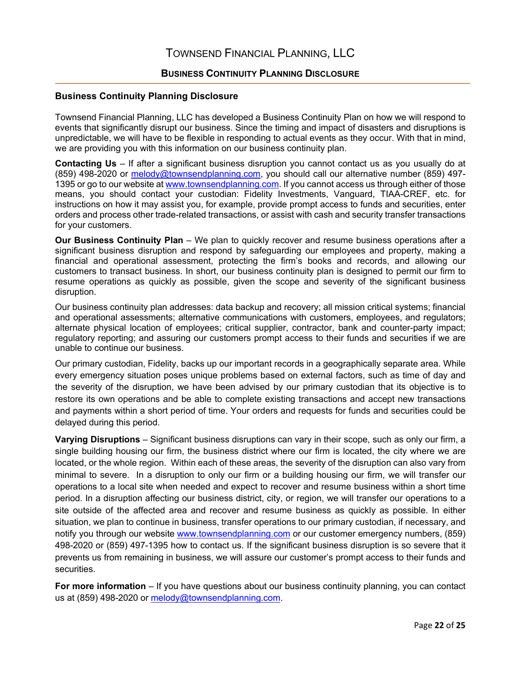# **BUSINESS CONTINUITY PLANNING DISCLOSURE**

## <span id="page-21-0"></span>**Business Continuity Planning Disclosure**

Townsend Financial Planning, LLC has developed a Business Continuity Plan on how we will respond to events that significantly disrupt our business. Since the timing and impact of disasters and disruptions is unpredictable, we will have to be flexible in responding to actual events as they occur. With that in mind, we are providing you with this information on our business continuity plan.

**Contacting Us** – If after a significant business disruption you cannot contact us as you usually do at (859) 498-2020 or [melody@townsendplanning.com,](mailto:melody@townsendplanning.com) you should call our alternative number (859) 497- 1395 or go to our website a[t www.townsendplanning.com.](http://www.townsendplanning.com/) If you cannot access us through either of those means, you should contact your custodian: Fidelity Investments, Vanguard, TIAA-CREF, etc. for instructions on how it may assist you, for example, provide prompt access to funds and securities, enter orders and process other trade-related transactions, or assist with cash and security transfer transactions for your customers.

**Our Business Continuity Plan** – We plan to quickly recover and resume business operations after a significant business disruption and respond by safeguarding our employees and property, making a financial and operational assessment, protecting the firm's books and records, and allowing our customers to transact business. In short, our business continuity plan is designed to permit our firm to resume operations as quickly as possible, given the scope and severity of the significant business disruption.

Our business continuity plan addresses: data backup and recovery; all mission critical systems; financial and operational assessments; alternative communications with customers, employees, and regulators; alternate physical location of employees; critical supplier, contractor, bank and counter-party impact; regulatory reporting; and assuring our customers prompt access to their funds and securities if we are unable to continue our business.

Our primary custodian, Fidelity, backs up our important records in a geographically separate area. While every emergency situation poses unique problems based on external factors, such as time of day and the severity of the disruption, we have been advised by our primary custodian that its objective is to restore its own operations and be able to complete existing transactions and accept new transactions and payments within a short period of time. Your orders and requests for funds and securities could be delayed during this period.

**Varying Disruptions** – Significant business disruptions can vary in their scope, such as only our firm, a single building housing our firm, the business district where our firm is located, the city where we are located, or the whole region. Within each of these areas, the severity of the disruption can also vary from minimal to severe. In a disruption to only our firm or a building housing our firm, we will transfer our operations to a local site when needed and expect to recover and resume business within a short time period. In a disruption affecting our business district, city, or region, we will transfer our operations to a site outside of the affected area and recover and resume business as quickly as possible. In either situation, we plan to continue in business, transfer operations to our primary custodian, if necessary, and notify you through our website [www.townsendplanning.com](http://www.townsendplanning.com/) or our customer emergency numbers, (859) 498-2020 or (859) 497-1395 how to contact us. If the significant business disruption is so severe that it prevents us from remaining in business, we will assure our customer's prompt access to their funds and securities.

**For more information** – If you have questions about our business continuity planning, you can contact us at (859) 498-2020 or [melody@townsendplanning.com.](mailto:melody@townsendplanning.com)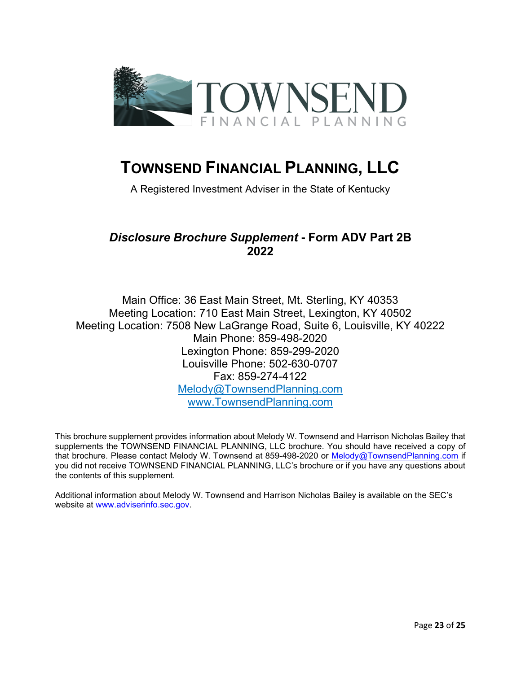

A Registered Investment Adviser in the State of Kentucky

# <span id="page-22-0"></span>*Disclosure Brochure Supplement* **- Form ADV Part 2B 2022**

Main Office: 36 East Main Street, Mt. Sterling, KY 40353 Meeting Location: 710 East Main Street, Lexington, KY 40502 Meeting Location: 7508 New LaGrange Road, Suite 6, Louisville, KY 40222 Main Phone: 859-498-2020 Lexington Phone: 859-299-2020 Louisville Phone: 502-630-0707 Fax: 859-274-4122 [Melody@TownsendPlanning.com](mailto:Melody@TownsendPlanning.com) www.TownsendPlanning.com

This brochure supplement provides information about Melody W. Townsend and Harrison Nicholas Bailey that supplements the TOWNSEND FINANCIAL PLANNING, LLC brochure. You should have received a copy of that brochure. Please contact Melody W. Townsend at 859-498-2020 or [Melody@TownsendPlanning.com](mailto:Melody@TownsendPlanning.com) if you did not receive TOWNSEND FINANCIAL PLANNING, LLC's brochure or if you have any questions about the contents of this supplement.

Additional information about Melody W. Townsend and Harrison Nicholas Bailey is available on the SEC's website at [www.adviserinfo.sec.gov.](http://www.adviserinfo.sec.gov/)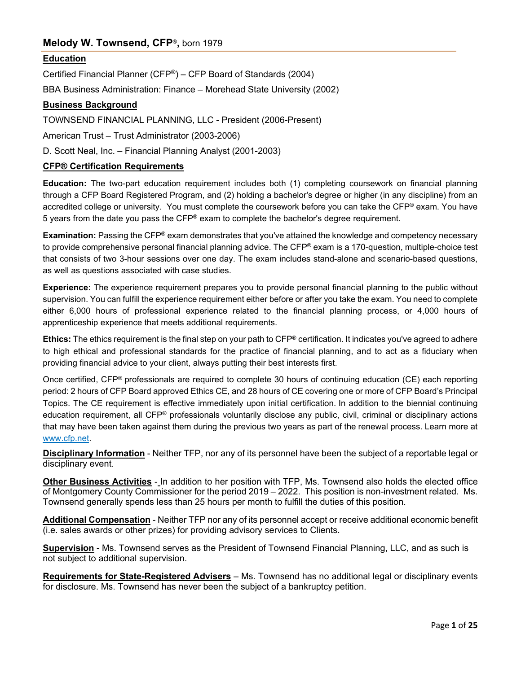# **Melody W. Townsend, CFP**®**,** born 1979

# **Education**

Certified Financial Planner (CFP®) – CFP Board of Standards (2004)

BBA Business Administration: Finance – Morehead State University (2002)

# **Business Background**

TOWNSEND FINANCIAL PLANNING, LLC - President (2006-Present)

American Trust – Trust Administrator (2003-2006)

D. Scott Neal, Inc. – Financial Planning Analyst (2001-2003)

# **CFP® Certification Requirements**

**Education:** The two-part education requirement includes both (1) completing coursework on financial planning through a CFP Board Registered Program, and (2) holding a bachelor's degree or higher (in any discipline) from an accredited college or university. You must complete the coursework before you can take the CFP® exam. You have 5 years from the date you pass the CFP® exam to complete the bachelor's degree requirement.

**Examination:** Passing the CFP® exam demonstrates that you've attained the knowledge and competency necessary to provide comprehensive personal financial planning advice. The CFP® exam is a 170-question, multiple-choice test that consists of two 3-hour sessions over one day. The exam includes stand-alone and scenario-based questions, as well as questions associated with case studies.

**Experience:** The experience requirement prepares you to provide personal financial planning to the public without supervision. You can fulfill the experience requirement either before or after you take the exam. You need to complete either 6,000 hours of professional experience related to the financial planning process, or 4,000 hours of apprenticeship experience that meets additional requirements.

**Ethics:** The ethics requirement is the final step on your path to CFP® certification. It indicates you've agreed to adhere to high ethical and professional standards for the practice of financial planning, and to act as a fiduciary when providing financial advice to your client, always putting their best interests first.

Once certified, CFP® professionals are required to complete 30 hours of continuing education (CE) each reporting period: 2 hours of CFP Board approved Ethics CE, and 28 hours of CE covering one or more of CFP Board's Principal Topics. The CE requirement is effective immediately upon initial certification. In addition to the biennial continuing education requirement, all CFP® professionals voluntarily disclose any public, civil, criminal or disciplinary actions that may have been taken against them during the previous two years as part of the renewal process. Learn more at [www.cfp.net.](http://www.cfp.net/)

**Disciplinary Information** - Neither TFP, nor any of its personnel have been the subject of a reportable legal or disciplinary event.

**Other Business Activities** - In addition to her position with TFP, Ms. Townsend also holds the elected office of Montgomery County Commissioner for the period 2019 – 2022. This position is non-investment related. Ms. Townsend generally spends less than 25 hours per month to fulfill the duties of this position.

**Additional Compensation** - Neither TFP nor any of its personnel accept or receive additional economic benefit (i.e. sales awards or other prizes) for providing advisory services to Clients.

**Supervision** - Ms. Townsend serves as the President of Townsend Financial Planning, LLC, and as such is not subject to additional supervision.

**Requirements for State-Registered Advisers** – Ms. Townsend has no additional legal or disciplinary events for disclosure. Ms. Townsend has never been the subject of a bankruptcy petition.